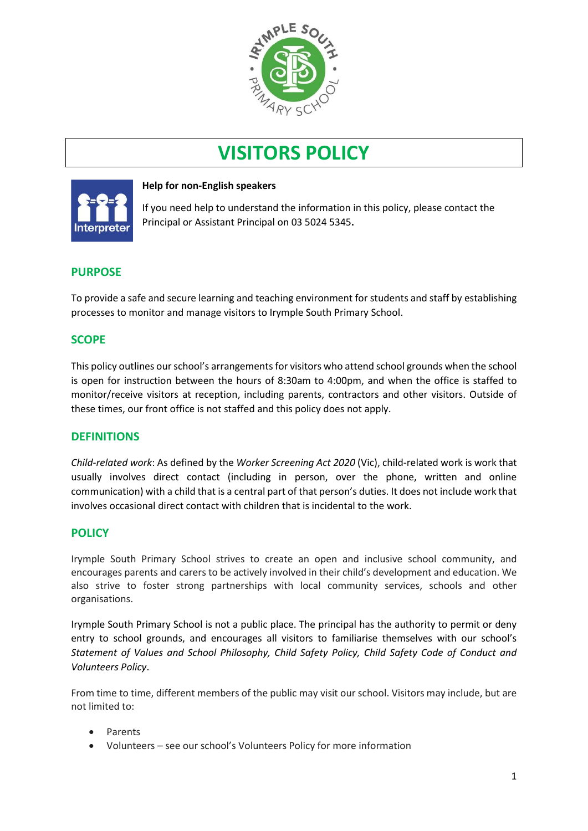

# **VISITORS POLICY**



## **Help for non-English speakers**

If you need help to understand the information in this policy, please contact the Principal or Assistant Principal on 03 5024 5345.

# **PURPOSE**

To provide a safe and secure learning and teaching environment for students and staff by establishing processes to monitor and manage visitors to Irymple South Primary School.

# **SCOPE**

This policy outlines our school's arrangements for visitors who attend school grounds when the school is open for instruction between the hours of 8:30am to 4:00pm, and when the office is staffed to monitor/receive visitors at reception, including parents, contractors and other visitors. Outside of these times, our front office is not staffed and this policy does not apply.

## **DEFINITIONS**

*Child-related work*: As defined by the *Worker Screening Act 2020* (Vic), child-related work is work that usually involves direct contact (including in person, over the phone, written and online communication) with a child that is a central part of that person's duties. It does not include work that involves occasional direct contact with children that is incidental to the work.

## **POLICY**

Irymple South Primary School strives to create an open and inclusive school community, and encourages parents and carers to be actively involved in their child's development and education. We also strive to foster strong partnerships with local community services, schools and other organisations.

Irymple South Primary School is not a public place. The principal has the authority to permit or deny entry to school grounds, and encourages all visitors to familiarise themselves with our school's *Statement of Values and School Philosophy, Child Safety Policy, Child Safety Code of Conduct and Volunteers Policy*.

From time to time, different members of the public may visit our school. Visitors may include, but are not limited to:

- Parents
- Volunteers see our school's Volunteers Policy for more information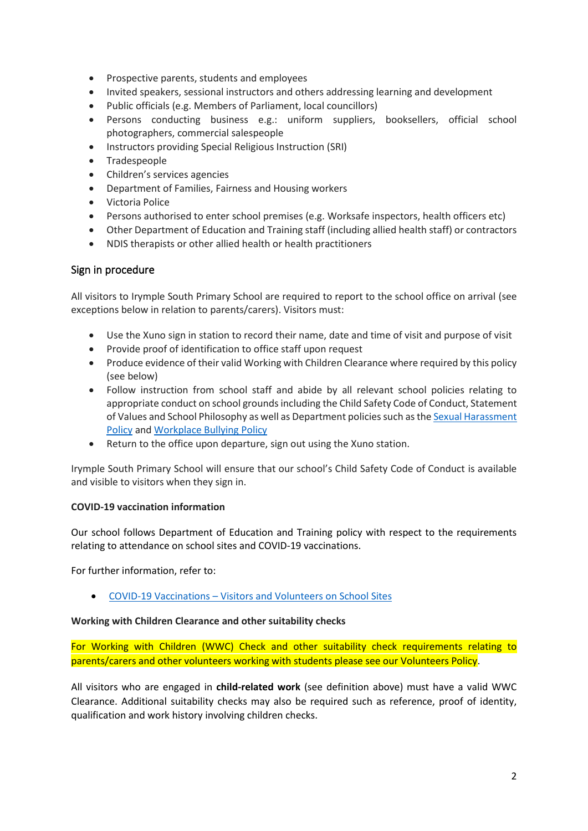- Prospective parents, students and employees
- Invited speakers, sessional instructors and others addressing learning and development
- Public officials (e.g. Members of Parliament, local councillors)
- Persons conducting business e.g.: uniform suppliers, booksellers, official school photographers, commercial salespeople
- Instructors providing Special Religious Instruction (SRI)
- Tradespeople
- Children's services agencies
- Department of Families, Fairness and Housing workers
- Victoria Police
- Persons authorised to enter school premises (e.g. Worksafe inspectors, health officers etc)
- Other Department of Education and Training staff (including allied health staff) or contractors
- NDIS therapists or other allied health or health practitioners

#### Sign in procedure

All visitors to Irymple South Primary School are required to report to the school office on arrival (see exceptions below in relation to parents/carers). Visitors must:

- Use the Xuno sign in station to record their name, date and time of visit and purpose of visit
- Provide proof of identification to office staff upon request
- Produce evidence of their valid Working with Children Clearance where required by this policy (see below)
- Follow instruction from school staff and abide by all relevant school policies relating to appropriate conduct on school grounds including the Child Safety Code of Conduct, Statement of Values and School Philosophy as well as Department policies such as th[e Sexual Harassment](https://www2.education.vic.gov.au/pal/sexual-harassment/overview)  [Policy](https://www2.education.vic.gov.au/pal/sexual-harassment/overview) and [Workplace Bullying Policy](https://www2.education.vic.gov.au/pal/workplace-bullying/policy)
- Return to the office upon departure, sign out using the Xuno station.

Irymple South Primary School will ensure that our school's Child Safety Code of Conduct is available and visible to visitors when they sign in.

#### **COVID-19 vaccination information**

Our school follows Department of Education and Training policy with respect to the requirements relating to attendance on school sites and COVID-19 vaccinations.

For further information, refer to:

• COVID-19 Vaccinations – [Visitors and Volunteers on School Sites](https://www2.education.vic.gov.au/pal/covid-19-vaccinations-visitors-volunteers/policy)

#### **Working with Children Clearance and other suitability checks**

For Working with Children (WWC) Check and other suitability check requirements relating to parents/carers and other volunteers working with students please see our Volunteers Policy.

All visitors who are engaged in **child-related work** (see definition above) must have a valid WWC Clearance. Additional suitability checks may also be required such as reference, proof of identity, qualification and work history involving children checks.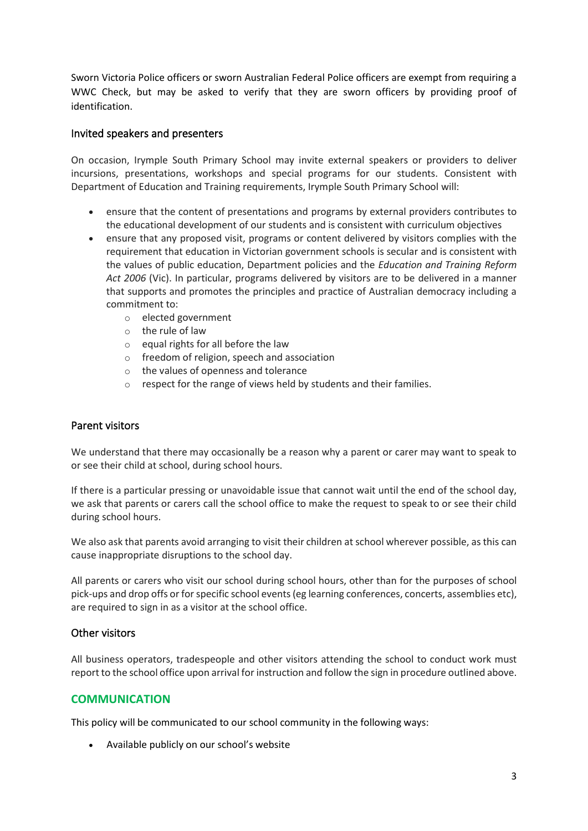Sworn Victoria Police officers or sworn Australian Federal Police officers are exempt from requiring a WWC Check, but may be asked to verify that they are sworn officers by providing proof of identification.

## Invited speakers and presenters

On occasion, Irymple South Primary School may invite external speakers or providers to deliver incursions, presentations, workshops and special programs for our students. Consistent with Department of Education and Training requirements, Irymple South Primary School will:

- ensure that the content of presentations and programs by external providers contributes to the educational development of our students and is consistent with curriculum objectives
- ensure that any proposed visit, programs or content delivered by visitors complies with the requirement that education in Victorian government schools is secular and is consistent with the values of public education, Department policies and the *Education and Training Reform Act 2006* (Vic). In particular, programs delivered by visitors are to be delivered in a manner that supports and promotes the principles and practice of Australian democracy including a commitment to:
	- o elected government
	- o the rule of law
	- $\circ$  equal rights for all before the law
	- o freedom of religion, speech and association
	- o the values of openness and tolerance
	- o respect for the range of views held by students and their families.

## Parent visitors

We understand that there may occasionally be a reason why a parent or carer may want to speak to or see their child at school, during school hours.

If there is a particular pressing or unavoidable issue that cannot wait until the end of the school day, we ask that parents or carers call the school office to make the request to speak to or see their child during school hours.

We also ask that parents avoid arranging to visit their children at school wherever possible, as this can cause inappropriate disruptions to the school day.

All parents or carers who visit our school during school hours, other than for the purposes of school pick-ups and drop offs or for specific school events (eg learning conferences, concerts, assemblies etc), are required to sign in as a visitor at the school office.

## Other visitors

All business operators, tradespeople and other visitors attending the school to conduct work must report to the school office upon arrival for instruction and follow the sign in procedure outlined above.

# **COMMUNICATION**

This policy will be communicated to our school community in the following ways:

• Available publicly on our school's website